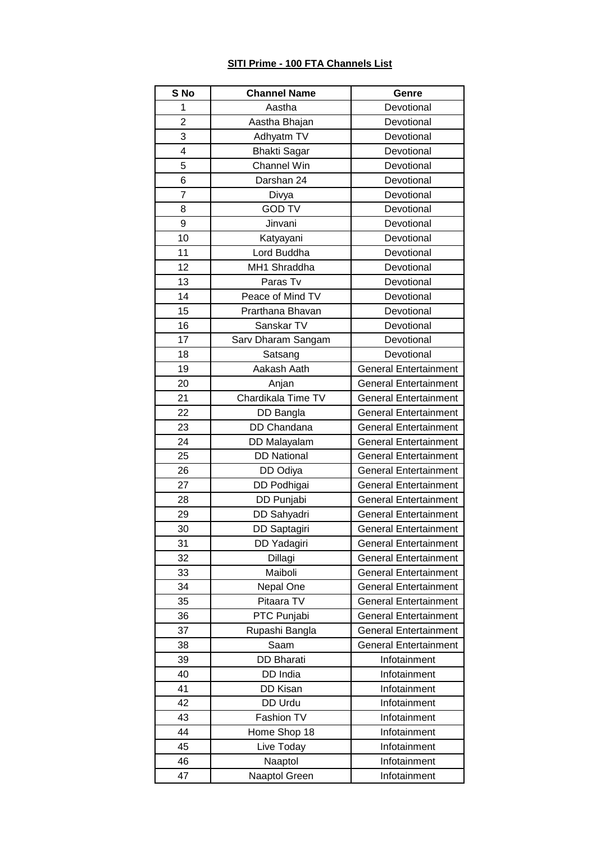## **SITI Prime - 100 FTA Channels List**

| S No           | <b>Channel Name</b> | Genre                        |
|----------------|---------------------|------------------------------|
| 1              | Aastha              | Devotional                   |
| $\overline{2}$ | Aastha Bhajan       | Devotional                   |
| 3              | Adhyatm TV          | Devotional                   |
| 4              | <b>Bhakti Sagar</b> | Devotional                   |
| 5              | Channel Win         | Devotional                   |
| 6              | Darshan 24          | Devotional                   |
| $\overline{7}$ | Divya               | Devotional                   |
| 8              | <b>GOD TV</b>       | Devotional                   |
| 9              | Jinvani             | Devotional                   |
| 10             | Katyayani           | Devotional                   |
| 11             | Lord Buddha         | Devotional                   |
| 12             | MH1 Shraddha        | Devotional                   |
| 13             | Paras Tv            | Devotional                   |
| 14             | Peace of Mind TV    | Devotional                   |
| 15             | Prarthana Bhavan    | Devotional                   |
| 16             | Sanskar TV          | Devotional                   |
| 17             | Sarv Dharam Sangam  | Devotional                   |
| 18             | Satsang             | Devotional                   |
| 19             | Aakash Aath         | <b>General Entertainment</b> |
| 20             | Anjan               | <b>General Entertainment</b> |
| 21             | Chardikala Time TV  | <b>General Entertainment</b> |
| 22             | DD Bangla           | <b>General Entertainment</b> |
| 23             | DD Chandana         | <b>General Entertainment</b> |
| 24             | DD Malayalam        | <b>General Entertainment</b> |
| 25             | <b>DD National</b>  | <b>General Entertainment</b> |
| 26             | DD Odiya            | <b>General Entertainment</b> |
| 27             | DD Podhigai         | <b>General Entertainment</b> |
| 28             | DD Punjabi          | <b>General Entertainment</b> |
| 29             | DD Sahyadri         | <b>General Entertainment</b> |
| 30             | DD Saptagiri        | <b>General Entertainment</b> |
| 31             | DD Yadagiri         | <b>General Entertainment</b> |
| 32             | Dillagi             | <b>General Entertainment</b> |
| 33             | Maiboli             | <b>General Entertainment</b> |
| 34             | Nepal One           | <b>General Entertainment</b> |
| 35             | Pitaara TV          | <b>General Entertainment</b> |
| 36             | PTC Punjabi         | <b>General Entertainment</b> |
| 37             | Rupashi Bangla      | <b>General Entertainment</b> |
| 38             | Saam                | <b>General Entertainment</b> |
| 39             | <b>DD Bharati</b>   | Infotainment                 |
| 40             | DD India            | Infotainment                 |
| 41             | DD Kisan            | Infotainment                 |
| 42             | DD Urdu             | Infotainment                 |
| 43             | Fashion TV          | Infotainment                 |
| 44             | Home Shop 18        | Infotainment                 |
| 45             | Live Today          | Infotainment                 |
| 46             | Naaptol             | Infotainment                 |
| 47             | Naaptol Green       | Infotainment                 |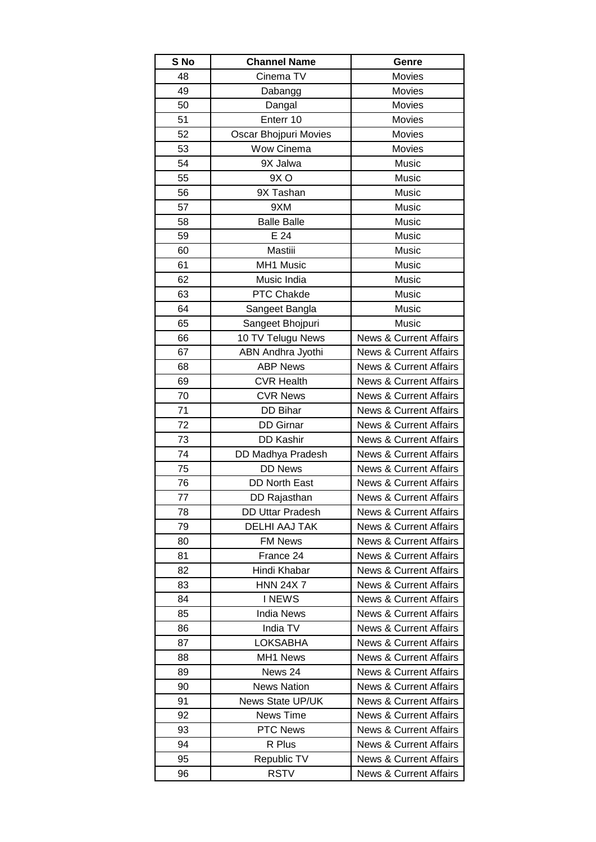| S No | <b>Channel Name</b>     | Genre                             |
|------|-------------------------|-----------------------------------|
| 48   | Cinema TV               | Movies                            |
| 49   | Dabangg                 | Movies                            |
| 50   | Dangal                  | Movies                            |
| 51   | Enterr 10               | Movies                            |
| 52   | Oscar Bhojpuri Movies   | Movies                            |
| 53   | Wow Cinema              | Movies                            |
| 54   | 9X Jalwa                | Music                             |
| 55   | 9X <sub>O</sub>         | Music                             |
| 56   | 9X Tashan               | Music                             |
| 57   | 9XM                     | Music                             |
| 58   | <b>Balle Balle</b>      | Music                             |
| 59   | E 24                    | Music                             |
| 60   | Mastiii                 | Music                             |
| 61   | MH1 Music               | Music                             |
| 62   | Music India             | Music                             |
| 63   | PTC Chakde              | Music                             |
| 64   | Sangeet Bangla          | Music                             |
| 65   | Sangeet Bhojpuri        | Music                             |
| 66   | 10 TV Telugu News       | <b>News &amp; Current Affairs</b> |
| 67   | ABN Andhra Jyothi       | <b>News &amp; Current Affairs</b> |
| 68   | <b>ABP News</b>         | <b>News &amp; Current Affairs</b> |
| 69   | <b>CVR Health</b>       | <b>News &amp; Current Affairs</b> |
| 70   | <b>CVR News</b>         | <b>News &amp; Current Affairs</b> |
| 71   | <b>DD Bihar</b>         | <b>News &amp; Current Affairs</b> |
| 72   | <b>DD</b> Girnar        | <b>News &amp; Current Affairs</b> |
| 73   | <b>DD Kashir</b>        | <b>News &amp; Current Affairs</b> |
| 74   | DD Madhya Pradesh       | <b>News &amp; Current Affairs</b> |
| 75   | <b>DD News</b>          | <b>News &amp; Current Affairs</b> |
| 76   | <b>DD North East</b>    | <b>News &amp; Current Affairs</b> |
| 77   | DD Rajasthan            | <b>News &amp; Current Affairs</b> |
| 78   | <b>DD Uttar Pradesh</b> | <b>News &amp; Current Affairs</b> |
| 79   | DELHI AAJ TAK           | <b>News &amp; Current Affairs</b> |
| 80   | <b>FM News</b>          | <b>News &amp; Current Affairs</b> |
| 81   | France 24               | <b>News &amp; Current Affairs</b> |
| 82   | Hindi Khabar            | <b>News &amp; Current Affairs</b> |
| 83   | <b>HNN 24X 7</b>        | <b>News &amp; Current Affairs</b> |
| 84   | <b>INEWS</b>            | <b>News &amp; Current Affairs</b> |
| 85   | <b>India News</b>       | <b>News &amp; Current Affairs</b> |
| 86   | India TV                | <b>News &amp; Current Affairs</b> |
| 87   | LOKSABHA                | <b>News &amp; Current Affairs</b> |
| 88   | MH1 News                | <b>News &amp; Current Affairs</b> |
| 89   | News 24                 | <b>News &amp; Current Affairs</b> |
| 90   | <b>News Nation</b>      | <b>News &amp; Current Affairs</b> |
| 91   | <b>News State UP/UK</b> | <b>News &amp; Current Affairs</b> |
| 92   | News Time               | <b>News &amp; Current Affairs</b> |
| 93   | <b>PTC News</b>         | <b>News &amp; Current Affairs</b> |
| 94   | R Plus                  | <b>News &amp; Current Affairs</b> |
| 95   | Republic TV             | <b>News &amp; Current Affairs</b> |
| 96   | RSTV                    | <b>News &amp; Current Affairs</b> |